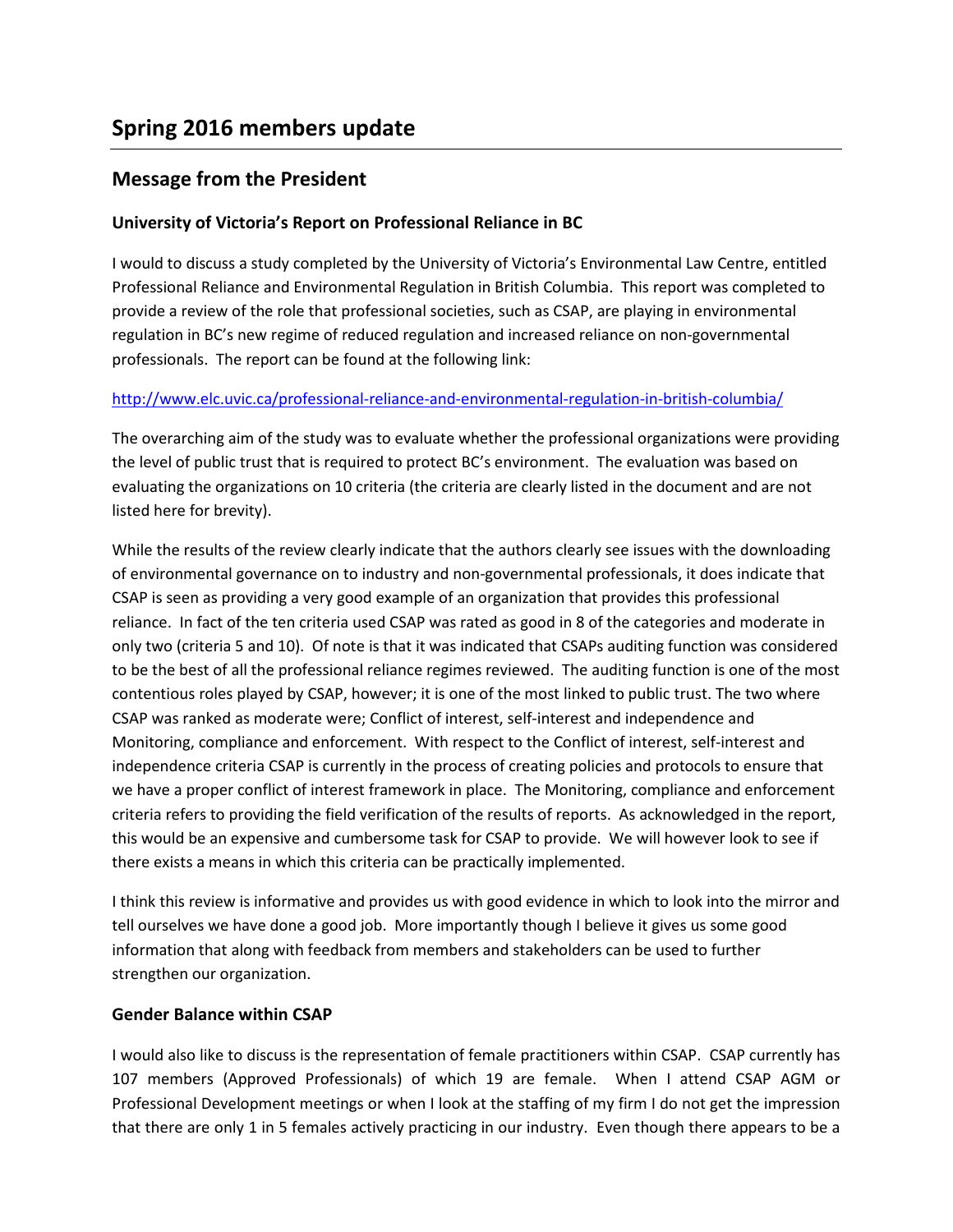# **Message from the President**

# **University of Victoria's Report on Professional Reliance in BC**

I would to discuss a study completed by the University of Victoria's Environmental Law Centre, entitled Professional Reliance and Environmental Regulation in British Columbia. This report was completed to provide a review of the role that professional societies, such as CSAP, are playing in environmental regulation in BC's new regime of reduced regulation and increased reliance on non-governmental professionals. The report can be found at the following link:

## <http://www.elc.uvic.ca/professional-reliance-and-environmental-regulation-in-british-columbia/>

The overarching aim of the study was to evaluate whether the professional organizations were providing the level of public trust that is required to protect BC's environment. The evaluation was based on evaluating the organizations on 10 criteria (the criteria are clearly listed in the document and are not listed here for brevity).

While the results of the review clearly indicate that the authors clearly see issues with the downloading of environmental governance on to industry and non-governmental professionals, it does indicate that CSAP is seen as providing a very good example of an organization that provides this professional reliance. In fact of the ten criteria used CSAP was rated as good in 8 of the categories and moderate in only two (criteria 5 and 10). Of note is that it was indicated that CSAPs auditing function was considered to be the best of all the professional reliance regimes reviewed. The auditing function is one of the most contentious roles played by CSAP, however; it is one of the most linked to public trust. The two where CSAP was ranked as moderate were; Conflict of interest, self-interest and independence and Monitoring, compliance and enforcement. With respect to the Conflict of interest, self-interest and independence criteria CSAP is currently in the process of creating policies and protocols to ensure that we have a proper conflict of interest framework in place. The Monitoring, compliance and enforcement criteria refers to providing the field verification of the results of reports. As acknowledged in the report, this would be an expensive and cumbersome task for CSAP to provide. We will however look to see if there exists a means in which this criteria can be practically implemented.

I think this review is informative and provides us with good evidence in which to look into the mirror and tell ourselves we have done a good job. More importantly though I believe it gives us some good information that along with feedback from members and stakeholders can be used to further strengthen our organization.

## **Gender Balance within CSAP**

I would also like to discuss is the representation of female practitioners within CSAP. CSAP currently has 107 members (Approved Professionals) of which 19 are female. When I attend CSAP AGM or Professional Development meetings or when I look at the staffing of my firm I do not get the impression that there are only 1 in 5 females actively practicing in our industry. Even though there appears to be a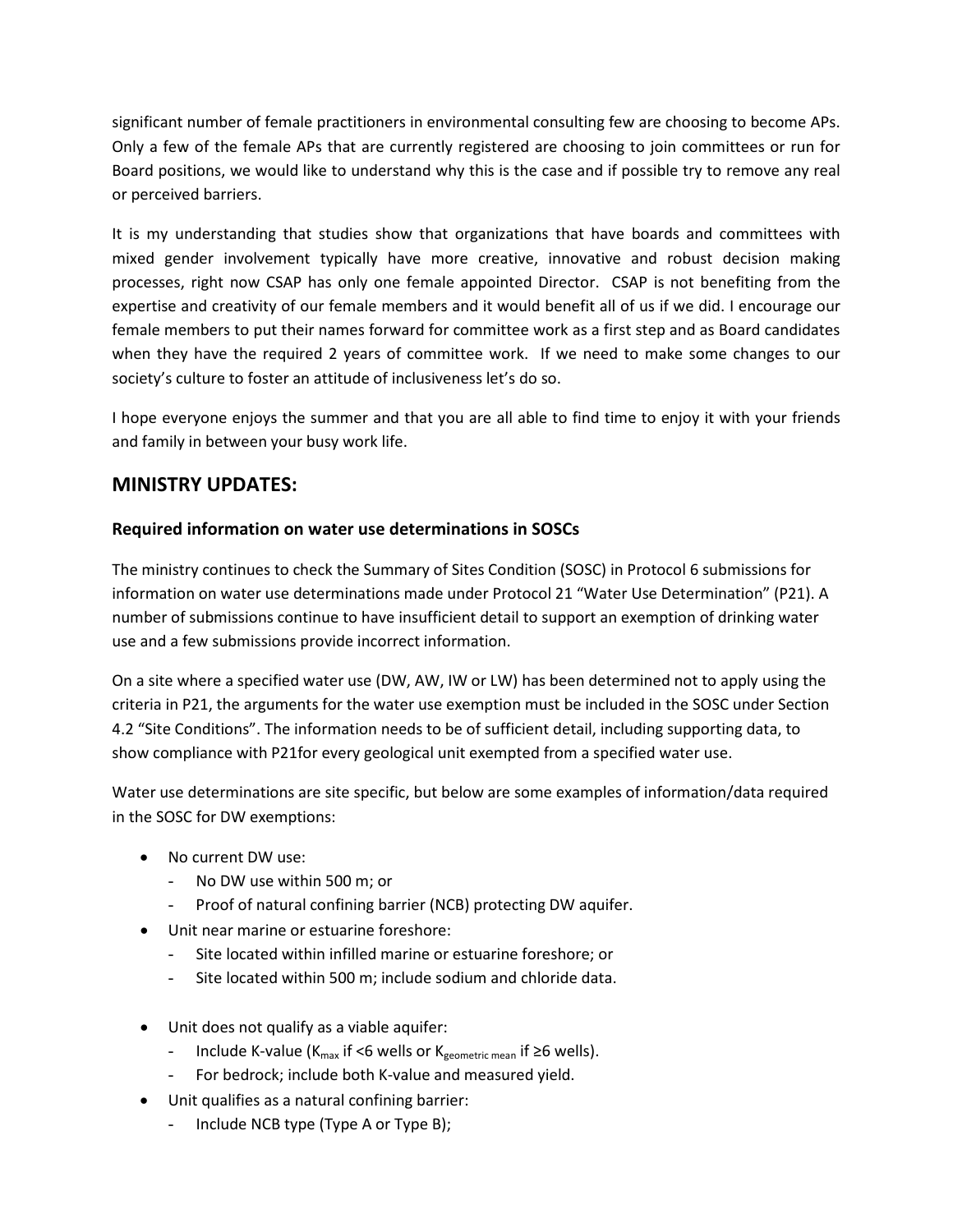significant number of female practitioners in environmental consulting few are choosing to become APs. Only a few of the female APs that are currently registered are choosing to join committees or run for Board positions, we would like to understand why this is the case and if possible try to remove any real or perceived barriers.

It is my understanding that studies show that organizations that have boards and committees with mixed gender involvement typically have more creative, innovative and robust decision making processes, right now CSAP has only one female appointed Director. CSAP is not benefiting from the expertise and creativity of our female members and it would benefit all of us if we did. I encourage our female members to put their names forward for committee work as a first step and as Board candidates when they have the required 2 years of committee work. If we need to make some changes to our society's culture to foster an attitude of inclusiveness let's do so.

I hope everyone enjoys the summer and that you are all able to find time to enjoy it with your friends and family in between your busy work life.

## **MINISTRY UPDATES:**

### **Required information on water use determinations in SOSCs**

The ministry continues to check the Summary of Sites Condition (SOSC) in Protocol 6 submissions for information on water use determinations made under Protocol 21 "Water Use Determination" (P21). A number of submissions continue to have insufficient detail to support an exemption of drinking water use and a few submissions provide incorrect information.

On a site where a specified water use (DW, AW, IW or LW) has been determined not to apply using the criteria in P21, the arguments for the water use exemption must be included in the SOSC under Section 4.2 "Site Conditions". The information needs to be of sufficient detail, including supporting data, to show compliance with P21for every geological unit exempted from a specified water use.

Water use determinations are site specific, but below are some examples of information/data required in the SOSC for DW exemptions:

- No current DW use:
	- No DW use within 500 m; or
	- Proof of natural confining barrier (NCB) protecting DW aquifer.
- Unit near marine or estuarine foreshore:
	- Site located within infilled marine or estuarine foreshore; or
	- Site located within 500 m; include sodium and chloride data.
- Unit does not qualify as a viable aquifer:
	- Include K-value ( $K_{max}$  if <6 wells or  $K_{geometric mean}$  if ≥6 wells).
	- For bedrock; include both K-value and measured yield.
- Unit qualifies as a natural confining barrier:
	- Include NCB type (Type A or Type B);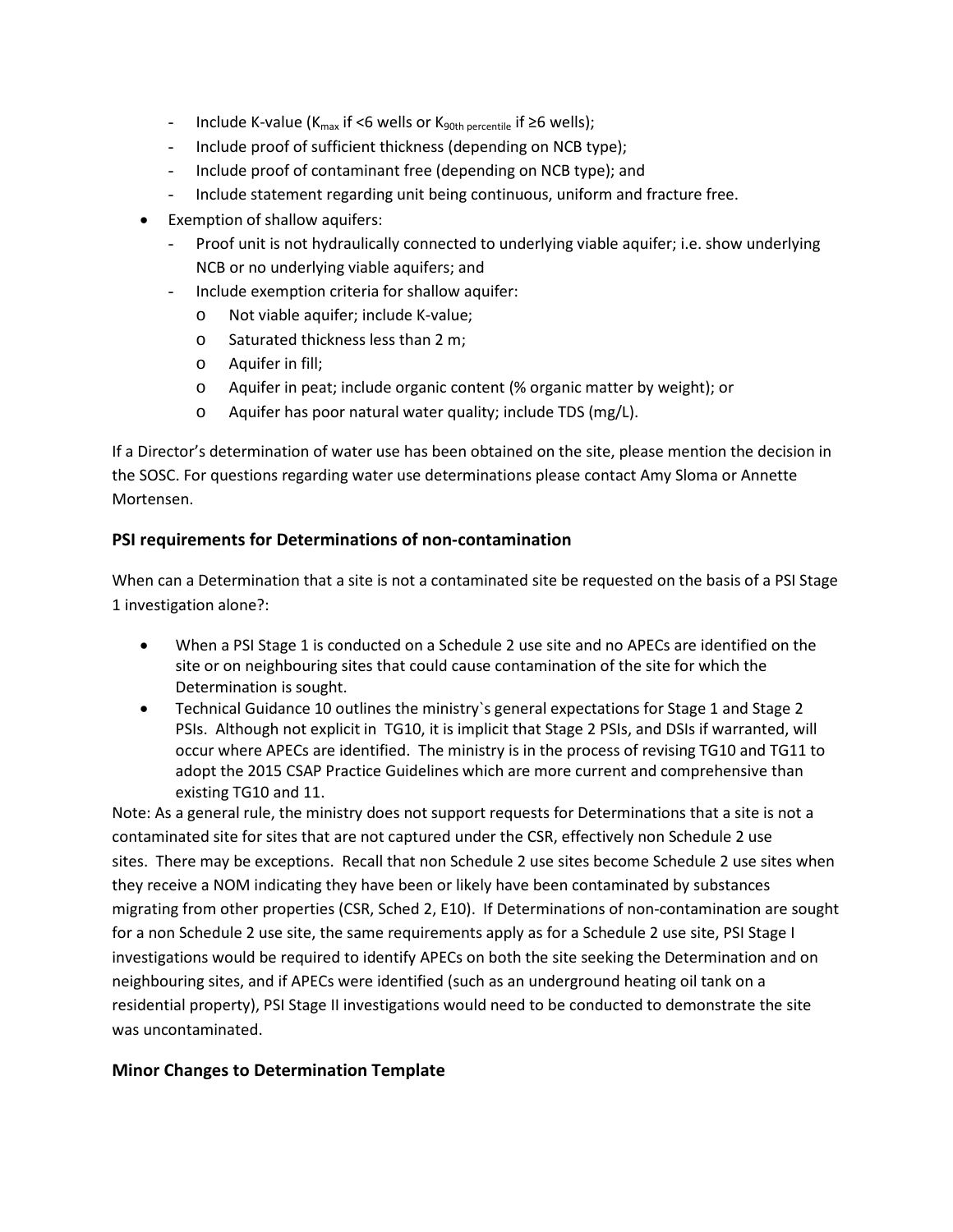- Include K-value ( $K_{max}$  if <6 wells or  $K_{90th}$  percentile if ≥6 wells);
- Include proof of sufficient thickness (depending on NCB type);
- Include proof of contaminant free (depending on NCB type); and
- Include statement regarding unit being continuous, uniform and fracture free.
- Exemption of shallow aquifers:
	- Proof unit is not hydraulically connected to underlying viable aquifer; i.e. show underlying NCB or no underlying viable aquifers; and
	- Include exemption criteria for shallow aquifer:
		- o Not viable aquifer; include K-value;
		- o Saturated thickness less than 2 m;
		- o Aquifer in fill;
		- o Aquifer in peat; include organic content (% organic matter by weight); or
		- o Aquifer has poor natural water quality; include TDS (mg/L).

If a Director's determination of water use has been obtained on the site, please mention the decision in the SOSC. For questions regarding water use determinations please contact Amy Sloma or Annette Mortensen.

### **PSI requirements for Determinations of non-contamination**

When can a Determination that a site is not a contaminated site be requested on the basis of a PSI Stage 1 investigation alone?:

- When a PSI Stage 1 is conducted on a Schedule 2 use site and no APECs are identified on the site or on neighbouring sites that could cause contamination of the site for which the Determination is sought.
- Technical Guidance 10 outlines the ministry`s general expectations for Stage 1 and Stage 2 PSIs. Although not explicit in TG10, it is implicit that Stage 2 PSIs, and DSIs if warranted, will occur where APECs are identified. The ministry is in the process of revising TG10 and TG11 to adopt the 2015 CSAP Practice Guidelines which are more current and comprehensive than existing TG10 and 11.

Note: As a general rule, the ministry does not support requests for Determinations that a site is not a contaminated site for sites that are not captured under the CSR, effectively non Schedule 2 use sites. There may be exceptions. Recall that non Schedule 2 use sites become Schedule 2 use sites when they receive a NOM indicating they have been or likely have been contaminated by substances migrating from other properties (CSR, Sched 2, E10). If Determinations of non-contamination are sought for a non Schedule 2 use site, the same requirements apply as for a Schedule 2 use site, PSI Stage I investigations would be required to identify APECs on both the site seeking the Determination and on neighbouring sites, and if APECs were identified (such as an underground heating oil tank on a residential property), PSI Stage II investigations would need to be conducted to demonstrate the site was uncontaminated.

## **Minor Changes to Determination Template**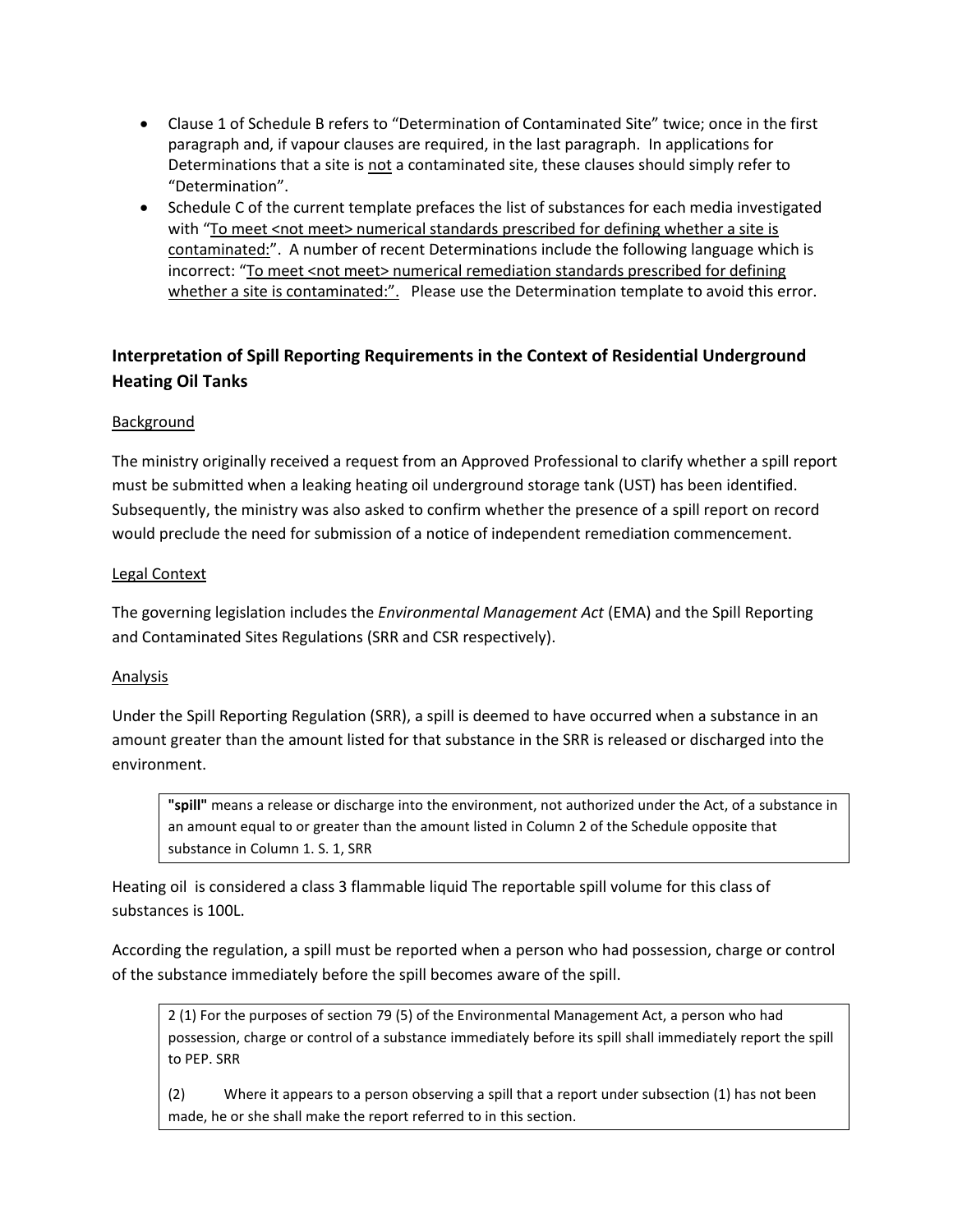- Clause 1 of Schedule B refers to "Determination of Contaminated Site" twice; once in the first paragraph and, if vapour clauses are required, in the last paragraph. In applications for Determinations that a site is not a contaminated site, these clauses should simply refer to "Determination".
- Schedule C of the current template prefaces the list of substances for each media investigated with "To meet <not meet> numerical standards prescribed for defining whether a site is contaminated:". A number of recent Determinations include the following language which is incorrect: "To meet <not meet> numerical remediation standards prescribed for defining whether a site is contaminated:". Please use the Determination template to avoid this error.

# **Interpretation of Spill Reporting Requirements in the Context of Residential Underground Heating Oil Tanks**

## Background

The ministry originally received a request from an Approved Professional to clarify whether a spill report must be submitted when a leaking heating oil underground storage tank (UST) has been identified. Subsequently, the ministry was also asked to confirm whether the presence of a spill report on record would preclude the need for submission of a notice of independent remediation commencement.

### Legal Context

The governing legislation includes the *Environmental Management Act* (EMA) and the Spill Reporting and Contaminated Sites Regulations (SRR and CSR respectively).

## Analysis

Under the Spill Reporting Regulation (SRR), a spill is deemed to have occurred when a substance in an amount greater than the amount listed for that substance in the SRR is released or discharged into the environment.

**"spill"** means a release or discharge into the environment, not authorized under the Act, of a substance in an amount equal to or greater than the amount listed in Column 2 of the Schedule opposite that substance in Column 1. S. 1, SRR

Heating oil is considered a class 3 flammable liquid The reportable spill volume for this class of substances is 100L.

According the regulation, a spill must be reported when a person who had possession, charge or control of the substance immediately before the spill becomes aware of the spill.

2 (1) For the purposes of section 79 (5) of the Environmental Management Act, a person who had possession, charge or control of a substance immediately before its spill shall immediately report the spill to PEP. SRR

(2) Where it appears to a person observing a spill that a report under subsection (1) has not been made, he or she shall make the report referred to in this section.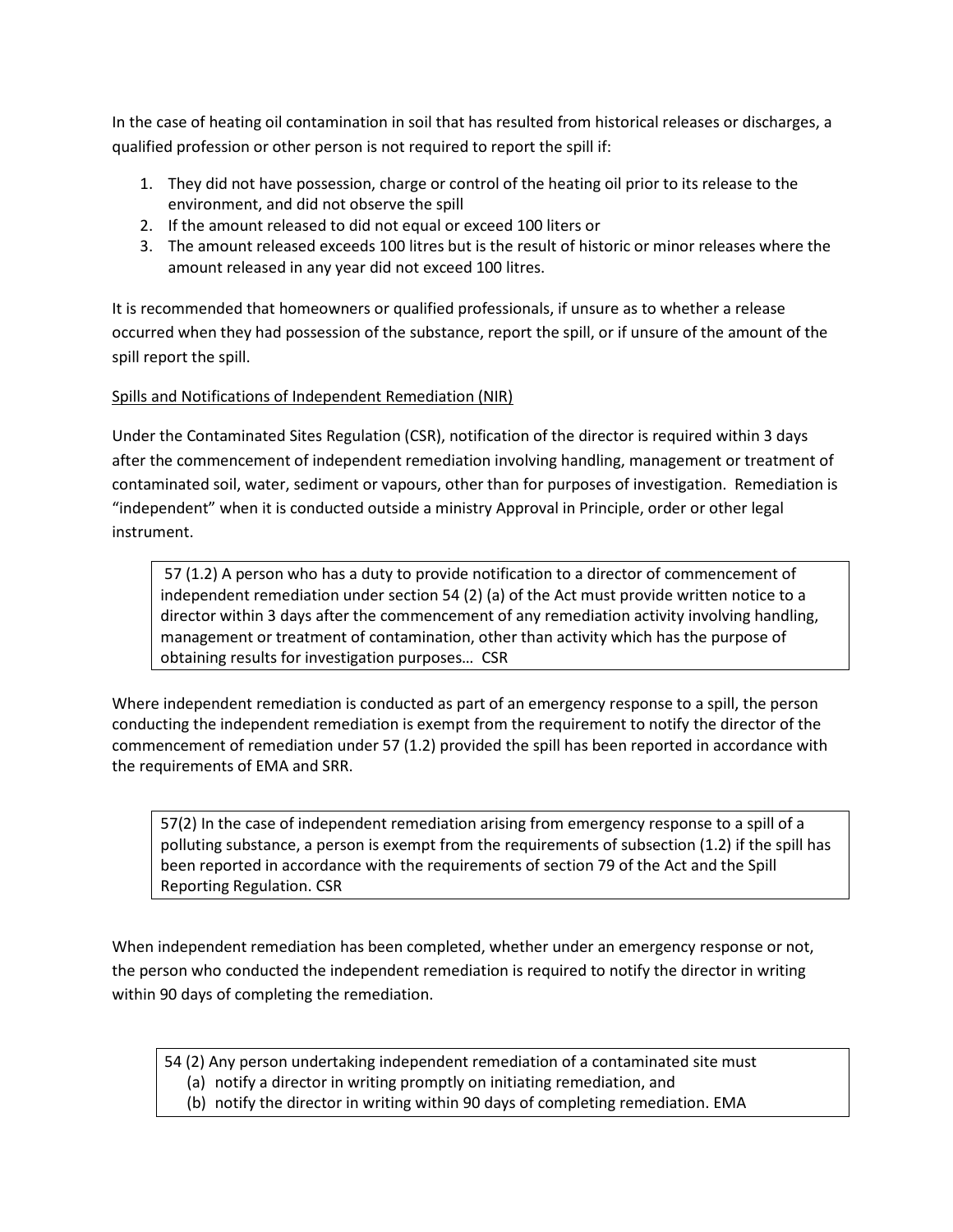In the case of heating oil contamination in soil that has resulted from historical releases or discharges, a qualified profession or other person is not required to report the spill if:

- 1. They did not have possession, charge or control of the heating oil prior to its release to the environment, and did not observe the spill
- 2. If the amount released to did not equal or exceed 100 liters or
- 3. The amount released exceeds 100 litres but is the result of historic or minor releases where the amount released in any year did not exceed 100 litres.

It is recommended that homeowners or qualified professionals, if unsure as to whether a release occurred when they had possession of the substance, report the spill, or if unsure of the amount of the spill report the spill.

## Spills and Notifications of Independent Remediation (NIR)

Under the Contaminated Sites Regulation (CSR), notification of the director is required within 3 days after the commencement of independent remediation involving handling, management or treatment of contaminated soil, water, sediment or vapours, other than for purposes of investigation. Remediation is "independent" when it is conducted outside a ministry Approval in Principle, order or other legal instrument.

57 (1.2) A person who has a duty to provide notification to a director of commencement of independent remediation under section 54 (2) (a) of the Act must provide written notice to a director within 3 days after the commencement of any remediation activity involving handling, management or treatment of contamination, other than activity which has the purpose of obtaining results for investigation purposes… CSR

Where independent remediation is conducted as part of an emergency response to a spill, the person conducting the independent remediation is exempt from the requirement to notify the director of the commencement of remediation under 57 (1.2) provided the spill has been reported in accordance with the requirements of EMA and SRR.

57(2) In the case of independent remediation arising from emergency response to a spill of a polluting substance, a person is exempt from the requirements of subsection (1.2) if the spill has been reported in accordance with the requirements of section 79 of the Act and the Spill Reporting Regulation. CSR

When independent remediation has been completed, whether under an emergency response or not, the person who conducted the independent remediation is required to notify the director in writing within 90 days of completing the remediation.

- 54 (2) Any person undertaking independent remediation of a contaminated site must
	- (a) notify a director in writing promptly on initiating remediation, and
	- (b) notify the director in writing within 90 days of completing remediation. EMA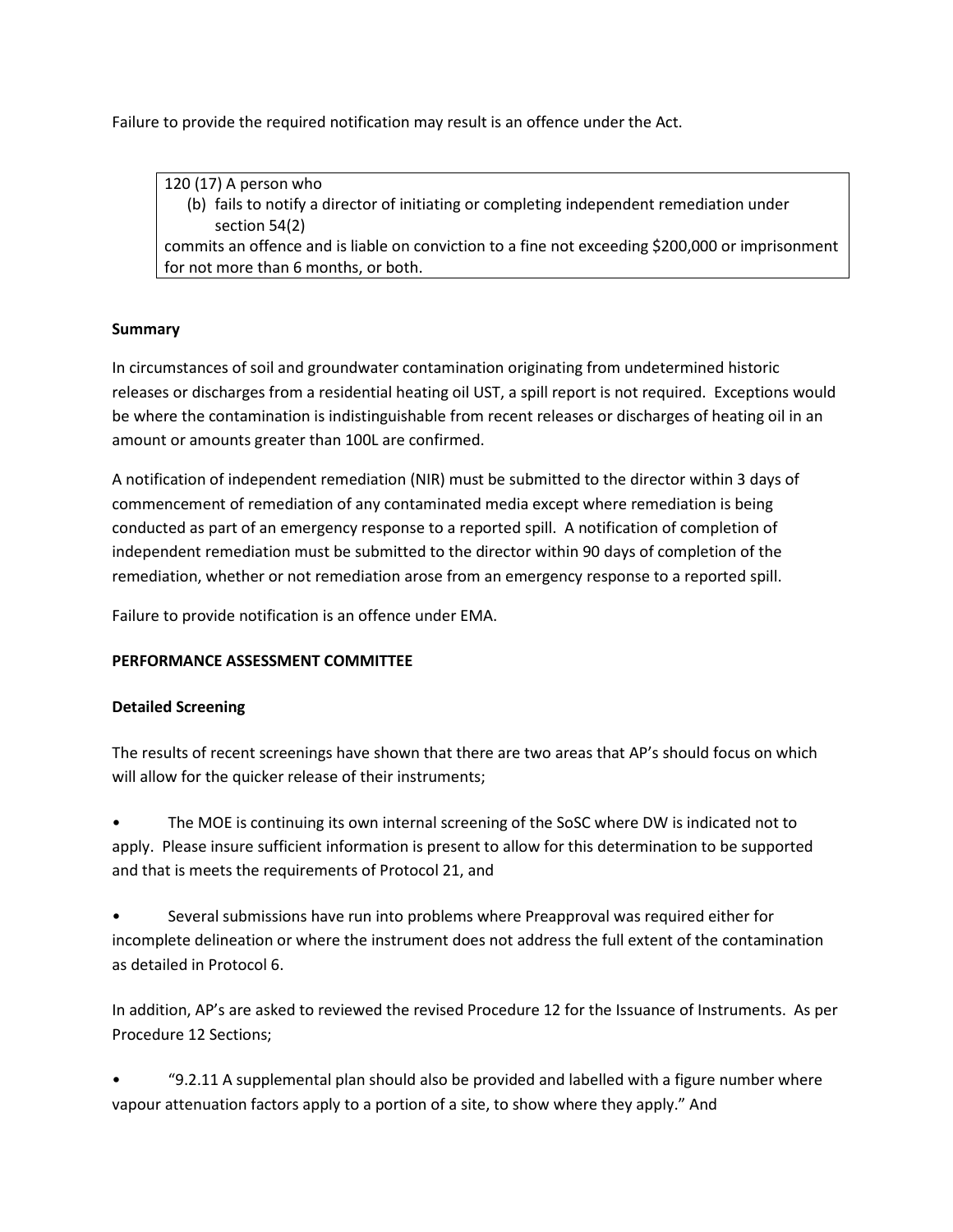Failure to provide the required notification may result is an offence under the Act.

120 (17) A person who (b) fails to notify a director of initiating or completing independent remediation under section 54(2) commits an offence and is liable on conviction to a fine not exceeding \$200,000 or imprisonment for not more than 6 months, or both.

#### **Summary**

In circumstances of soil and groundwater contamination originating from undetermined historic releases or discharges from a residential heating oil UST, a spill report is not required. Exceptions would be where the contamination is indistinguishable from recent releases or discharges of heating oil in an amount or amounts greater than 100L are confirmed.

A notification of independent remediation (NIR) must be submitted to the director within 3 days of commencement of remediation of any contaminated media except where remediation is being conducted as part of an emergency response to a reported spill. A notification of completion of independent remediation must be submitted to the director within 90 days of completion of the remediation, whether or not remediation arose from an emergency response to a reported spill.

Failure to provide notification is an offence under EMA.

## **PERFORMANCE ASSESSMENT COMMITTEE**

#### **Detailed Screening**

The results of recent screenings have shown that there are two areas that AP's should focus on which will allow for the quicker release of their instruments;

• The MOE is continuing its own internal screening of the SoSC where DW is indicated not to apply. Please insure sufficient information is present to allow for this determination to be supported and that is meets the requirements of Protocol 21, and

• Several submissions have run into problems where Preapproval was required either for incomplete delineation or where the instrument does not address the full extent of the contamination as detailed in Protocol 6.

In addition, AP's are asked to reviewed the revised Procedure 12 for the Issuance of Instruments. As per Procedure 12 Sections;

• "9.2.11 A supplemental plan should also be provided and labelled with a figure number where vapour attenuation factors apply to a portion of a site, to show where they apply." And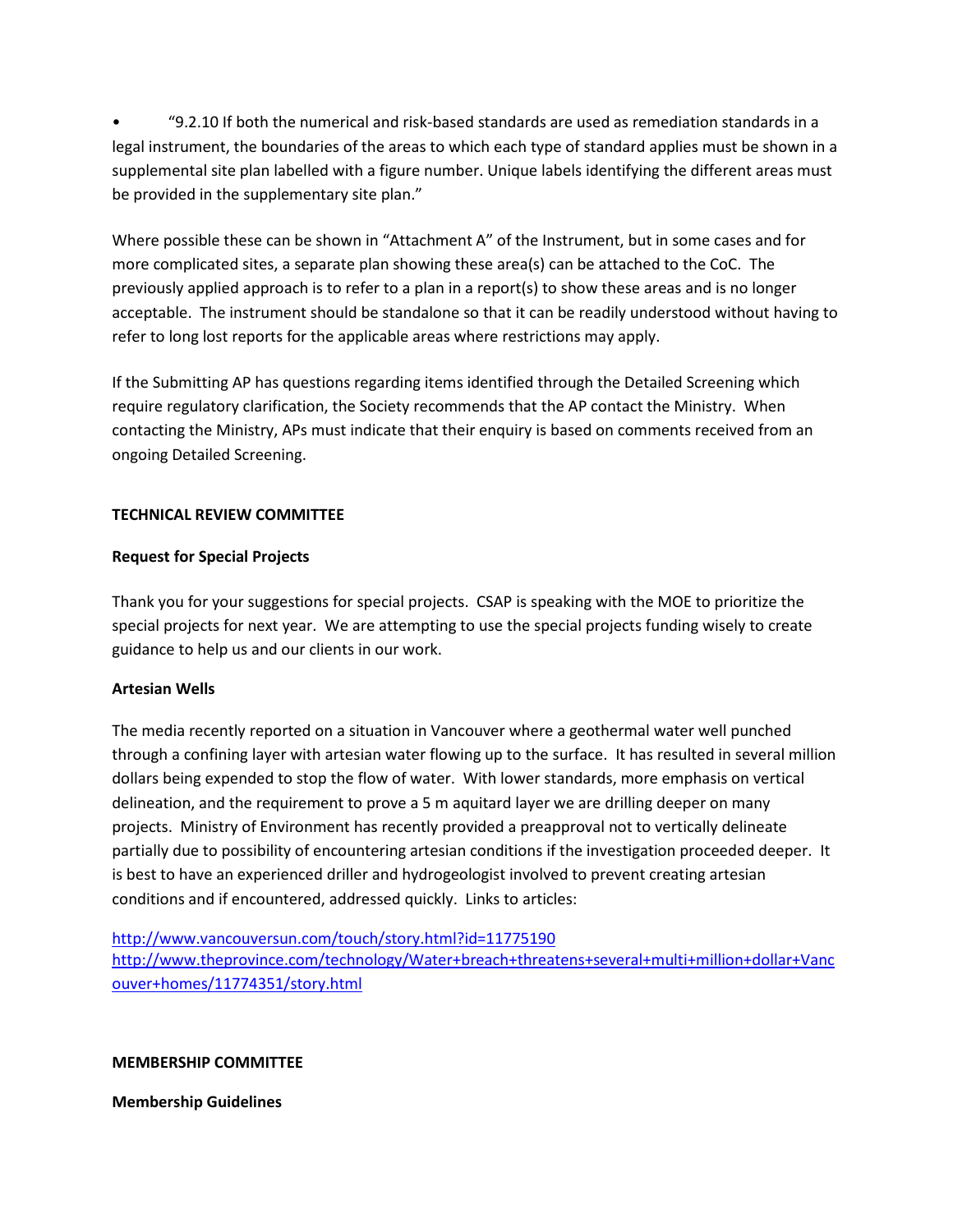• "9.2.10 If both the numerical and risk-based standards are used as remediation standards in a legal instrument, the boundaries of the areas to which each type of standard applies must be shown in a supplemental site plan labelled with a figure number. Unique labels identifying the different areas must be provided in the supplementary site plan."

Where possible these can be shown in "Attachment A" of the Instrument, but in some cases and for more complicated sites, a separate plan showing these area(s) can be attached to the CoC. The previously applied approach is to refer to a plan in a report(s) to show these areas and is no longer acceptable. The instrument should be standalone so that it can be readily understood without having to refer to long lost reports for the applicable areas where restrictions may apply.

If the Submitting AP has questions regarding items identified through the Detailed Screening which require regulatory clarification, the Society recommends that the AP contact the Ministry. When contacting the Ministry, APs must indicate that their enquiry is based on comments received from an ongoing Detailed Screening.

### **TECHNICAL REVIEW COMMITTEE**

#### **Request for Special Projects**

Thank you for your suggestions for special projects. CSAP is speaking with the MOE to prioritize the special projects for next year. We are attempting to use the special projects funding wisely to create guidance to help us and our clients in our work.

#### **Artesian Wells**

The media recently reported on a situation in Vancouver where a geothermal water well punched through a confining layer with artesian water flowing up to the surface. It has resulted in several million dollars being expended to stop the flow of water. With lower standards, more emphasis on vertical delineation, and the requirement to prove a 5 m aquitard layer we are drilling deeper on many projects. Ministry of Environment has recently provided a preapproval not to vertically delineate partially due to possibility of encountering artesian conditions if the investigation proceeded deeper. It is best to have an experienced driller and hydrogeologist involved to prevent creating artesian conditions and if encountered, addressed quickly. Links to articles:

<http://www.vancouversun.com/touch/story.html?id=11775190> [http://www.theprovince.com/technology/Water+breach+threatens+several+multi+million+dollar+Vanc](http://www.theprovince.com/technology/Water+breach+threatens+several+multi+million+dollar+Vancouver+homes/11774351/story.html) [ouver+homes/11774351/story.html](http://www.theprovince.com/technology/Water+breach+threatens+several+multi+million+dollar+Vancouver+homes/11774351/story.html)

#### **MEMBERSHIP COMMITTEE**

**Membership Guidelines**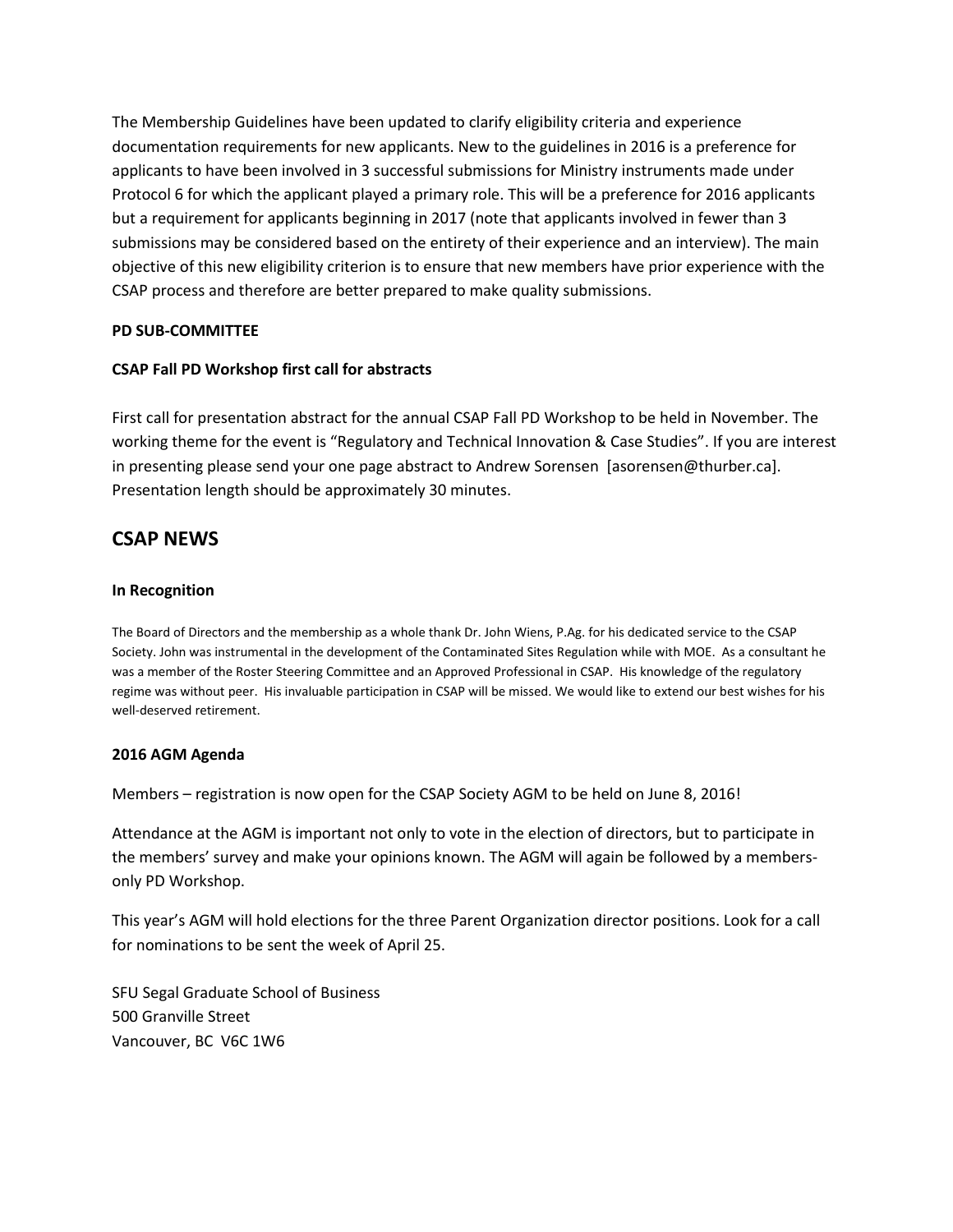The Membership Guidelines have been updated to clarify eligibility criteria and experience documentation requirements for new applicants. New to the guidelines in 2016 is a preference for applicants to have been involved in 3 successful submissions for Ministry instruments made under Protocol 6 for which the applicant played a primary role. This will be a preference for 2016 applicants but a requirement for applicants beginning in 2017 (note that applicants involved in fewer than 3 submissions may be considered based on the entirety of their experience and an interview). The main objective of this new eligibility criterion is to ensure that new members have prior experience with the CSAP process and therefore are better prepared to make quality submissions.

#### **PD SUB-COMMITTEE**

#### **CSAP Fall PD Workshop first call for abstracts**

First call for presentation abstract for the annual CSAP Fall PD Workshop to be held in November. The working theme for the event is "Regulatory and Technical Innovation & Case Studies". If you are interest in presenting please send your one page abstract to Andrew Sorensen [asorensen@thurber.ca]. Presentation length should be approximately 30 minutes.

## **CSAP NEWS**

#### **In Recognition**

The Board of Directors and the membership as a whole thank Dr. John Wiens, P.Ag. for his dedicated service to the CSAP Society. John was instrumental in the development of the Contaminated Sites Regulation while with MOE. As a consultant he was a member of the Roster Steering Committee and an Approved Professional in CSAP. His knowledge of the regulatory regime was without peer. His invaluable participation in CSAP will be missed. We would like to extend our best wishes for his well-deserved retirement.

#### **2016 AGM Agenda**

Members – registration is now open for the CSAP Society AGM to be held on June 8, 2016!

Attendance at the AGM is important not only to vote in the election of directors, but to participate in the members' survey and make your opinions known. The AGM will again be followed by a membersonly PD Workshop.

This year's AGM will hold elections for the three Parent Organization director positions. Look for a call for nominations to be sent the week of April 25.

SFU Segal Graduate School of Business 500 Granville Street Vancouver, BC V6C 1W6